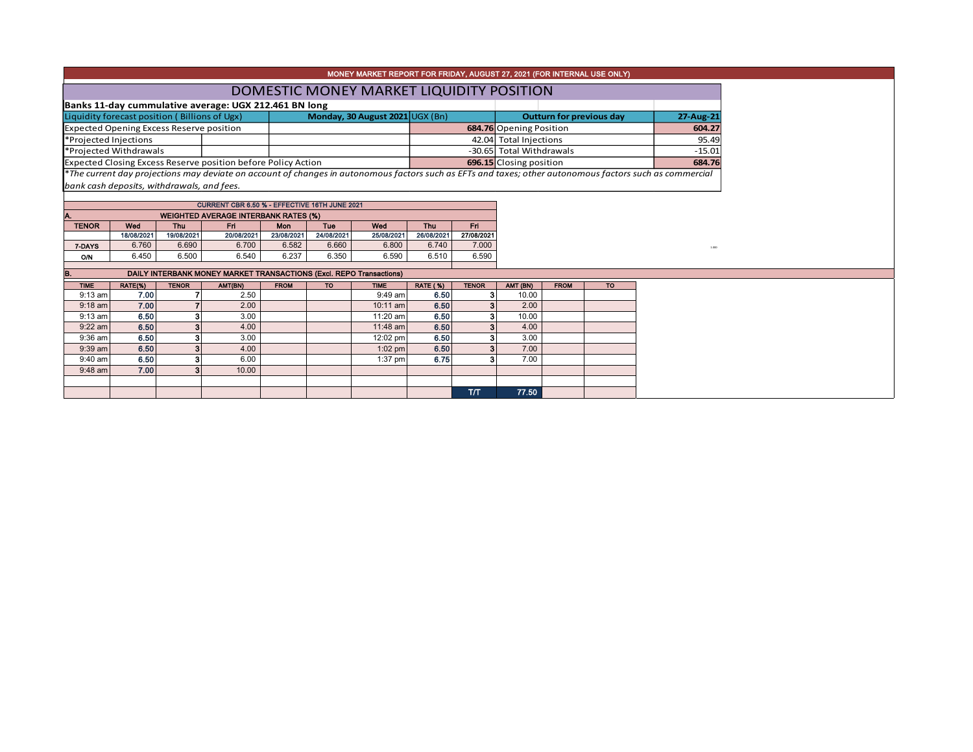|                                                 |                                            |                |                                                                      |             |                                 | MONEY MARKET REPORT FOR FRIDAY, AUGUST 27, 2021 (FOR INTERNAL USE ONLY) |                 |                                 |                          |             |           |                                                                                                                                                          |
|-------------------------------------------------|--------------------------------------------|----------------|----------------------------------------------------------------------|-------------|---------------------------------|-------------------------------------------------------------------------|-----------------|---------------------------------|--------------------------|-------------|-----------|----------------------------------------------------------------------------------------------------------------------------------------------------------|
|                                                 |                                            |                |                                                                      |             |                                 |                                                                         |                 |                                 |                          |             |           |                                                                                                                                                          |
|                                                 |                                            |                |                                                                      |             |                                 | DOMESTIC MONEY MARKET LIQUIDITY POSITION                                |                 |                                 |                          |             |           |                                                                                                                                                          |
|                                                 |                                            |                | Banks 11-day cummulative average: UGX 212.461 BN long                |             |                                 |                                                                         |                 |                                 |                          |             |           |                                                                                                                                                          |
| Liquidity forecast position (Billions of Ugx)   |                                            |                |                                                                      |             | Monday, 30 August 2021 UGX (Bn) |                                                                         |                 | <b>Outturn for previous day</b> | 27-Aug-21                |             |           |                                                                                                                                                          |
| <b>Expected Opening Excess Reserve position</b> |                                            |                |                                                                      |             |                                 |                                                                         |                 |                                 | 684.76 Opening Position  |             |           | 604.27                                                                                                                                                   |
|                                                 | *Projected Injections                      |                |                                                                      |             |                                 |                                                                         |                 |                                 | 42.04 Total Injections   |             |           | 95.49                                                                                                                                                    |
|                                                 | *Projected Withdrawals                     |                |                                                                      |             |                                 |                                                                         |                 |                                 | -30.65 Total Withdrawals |             |           | $-15.01$                                                                                                                                                 |
|                                                 |                                            |                | <b>Expected Closing Excess Reserve position before Policy Action</b> |             |                                 |                                                                         |                 |                                 | 696.15 Closing position  |             |           | 684.76                                                                                                                                                   |
|                                                 |                                            |                |                                                                      |             |                                 |                                                                         |                 |                                 |                          |             |           | *The current day projections may deviate on account of changes in autonomous factors such as EFTs and taxes; other autonomous factors such as commercial |
|                                                 | bank cash deposits, withdrawals, and fees. |                |                                                                      |             |                                 |                                                                         |                 |                                 |                          |             |           |                                                                                                                                                          |
|                                                 |                                            |                | CURRENT CBR 6.50 % - EFFECTIVE 16TH JUNE 2021                        |             |                                 |                                                                         |                 |                                 |                          |             |           |                                                                                                                                                          |
|                                                 |                                            |                | <b>WEIGHTED AVERAGE INTERBANK RATES (%)</b>                          |             |                                 |                                                                         |                 |                                 |                          |             |           |                                                                                                                                                          |
| <b>TENOR</b>                                    | Wed                                        | Thu            | Fri                                                                  | Mon         | Tue                             | Wod                                                                     | <b>Thu</b>      | Fri.                            |                          |             |           |                                                                                                                                                          |
|                                                 | 18/08/2021                                 | 19/08/2021     | 20/08/2021                                                           | 23/08/2021  | 24/08/2021                      | 25/08/2021                                                              | 26/08/2021      | 27/08/2021                      |                          |             |           |                                                                                                                                                          |
| 7-DAYS                                          | 6.760                                      | 6.690          | 6.700                                                                | 6.582       | 6.660                           | 6.800                                                                   | 6.740           | 7.000                           |                          |             |           | 1.000                                                                                                                                                    |
| O/N                                             | 6.450                                      | 6.500          | 6.540                                                                | 6.237       | 6.350                           | 6.590                                                                   | 6.510           | 6.590                           |                          |             |           |                                                                                                                                                          |
| IB.                                             |                                            |                | DAILY INTERBANK MONEY MARKET TRANSACTIONS (Excl. REPO Transactions)  |             |                                 |                                                                         |                 |                                 |                          |             |           |                                                                                                                                                          |
| <b>TIME</b>                                     | RATE(%)                                    | <b>TENOR</b>   | AMT(BN)                                                              | <b>FROM</b> | <b>TO</b>                       | <b>TIME</b>                                                             | <b>RATE (%)</b> | <b>TENOR</b>                    | AMT (BN)                 | <b>FROM</b> | <b>TO</b> |                                                                                                                                                          |
| $9:13$ am                                       | 7.00                                       | 7              | 2.50                                                                 |             |                                 | 9:49 am                                                                 | 6.50            | 3                               | 10.00                    |             |           |                                                                                                                                                          |
| $9:18$ am                                       | 7.00                                       | $\overline{7}$ | 2.00                                                                 |             |                                 | 10:11 am                                                                | 6.50            |                                 | 2.00                     |             |           |                                                                                                                                                          |
| 9:13 am                                         | 6.50                                       | 3              | 3.00                                                                 |             |                                 | 11:20 am                                                                | 6.50            |                                 | 10.00                    |             |           |                                                                                                                                                          |
| $9:22$ am                                       | 6.50                                       | 3              | 4.00                                                                 |             |                                 | 11:48 am                                                                | 6.50            |                                 | 4.00                     |             |           |                                                                                                                                                          |
| 9:36 am                                         | 6.50                                       | 3              | 3.00                                                                 |             |                                 | 12:02 pm                                                                | 6.50            |                                 | 3.00                     |             |           |                                                                                                                                                          |
| 9:39 am                                         | 6.50                                       | 3              | 4.00                                                                 |             |                                 | $1:02$ pm                                                               | 6.50            |                                 | 7.00                     |             |           |                                                                                                                                                          |
| 9:40 am                                         | 6.50                                       | 3              | 6.00                                                                 |             |                                 | $1:37$ pm                                                               | 6.75            |                                 | 7.00                     |             |           |                                                                                                                                                          |
| 9:48 am                                         | 7.00                                       | 3              | 10.00                                                                |             |                                 |                                                                         |                 |                                 |                          |             |           |                                                                                                                                                          |
|                                                 |                                            |                |                                                                      |             |                                 |                                                                         |                 |                                 |                          |             |           |                                                                                                                                                          |
|                                                 |                                            |                |                                                                      |             |                                 |                                                                         |                 | T/T                             | 77.50                    |             |           |                                                                                                                                                          |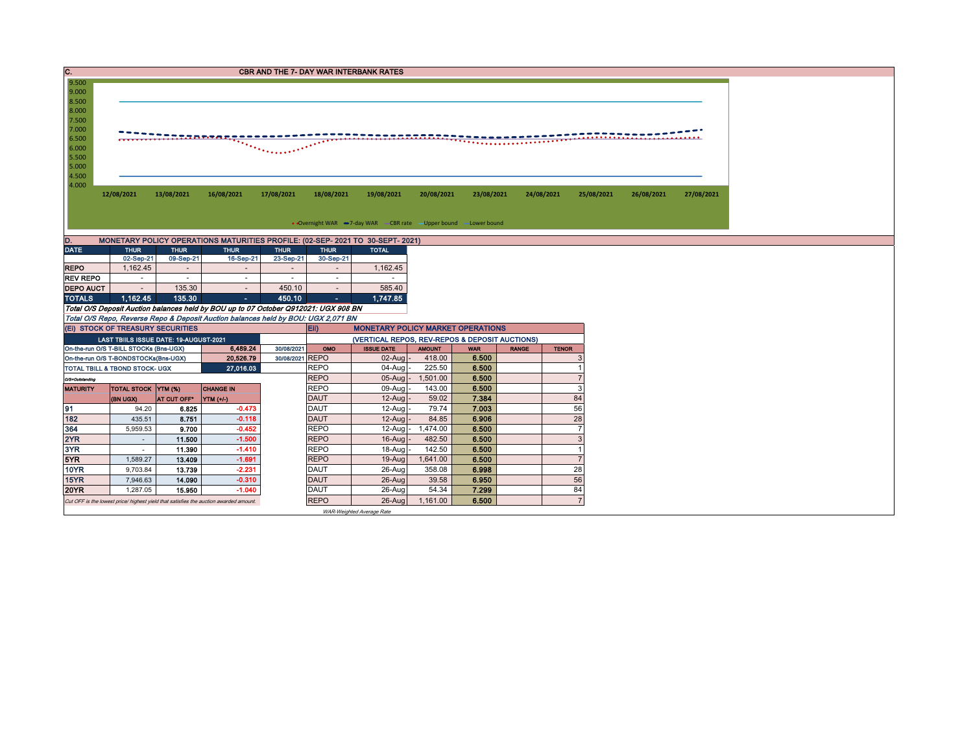| IC.              |                                                                                       |                         |                                                                                                                                                                          |                 |                            | <b>CBR AND THE 7- DAY WAR INTERBANK RATES</b>                     |                |                |              |                |                          |            |
|------------------|---------------------------------------------------------------------------------------|-------------------------|--------------------------------------------------------------------------------------------------------------------------------------------------------------------------|-----------------|----------------------------|-------------------------------------------------------------------|----------------|----------------|--------------|----------------|--------------------------|------------|
| 9.500            |                                                                                       |                         |                                                                                                                                                                          |                 |                            |                                                                   |                |                |              |                |                          |            |
| 9.000<br>8.500   |                                                                                       |                         |                                                                                                                                                                          |                 |                            |                                                                   |                |                |              |                |                          |            |
| 8.000            |                                                                                       |                         |                                                                                                                                                                          |                 |                            |                                                                   |                |                |              |                |                          |            |
| 7.500            |                                                                                       |                         |                                                                                                                                                                          |                 |                            |                                                                   |                |                |              |                |                          |            |
| 7.000            |                                                                                       |                         |                                                                                                                                                                          |                 |                            |                                                                   |                |                |              |                |                          |            |
| 6.500<br>6.000   |                                                                                       |                         |                                                                                                                                                                          |                 |                            |                                                                   |                |                |              |                |                          |            |
| 5.500            |                                                                                       |                         |                                                                                                                                                                          |                 |                            |                                                                   |                |                |              |                |                          |            |
| 5.000            |                                                                                       |                         |                                                                                                                                                                          |                 |                            |                                                                   |                |                |              |                |                          |            |
| 4.500            |                                                                                       |                         |                                                                                                                                                                          |                 |                            |                                                                   |                |                |              |                |                          |            |
| 4.000            |                                                                                       |                         |                                                                                                                                                                          |                 |                            |                                                                   |                |                |              |                |                          |            |
|                  | 12/08/2021                                                                            | 13/08/2021              | 16/08/2021                                                                                                                                                               | 17/08/2021      | 18/08/2021                 | 19/08/2021                                                        | 20/08/2021     | 23/08/2021     | 24/08/2021   |                | 25/08/2021<br>26/08/2021 | 27/08/2021 |
|                  |                                                                                       |                         |                                                                                                                                                                          |                 |                            |                                                                   |                |                |              |                |                          |            |
|                  |                                                                                       |                         |                                                                                                                                                                          |                 |                            | • Overnight WAR -7-day WAR - CBR rate - Upper bound - Lower bound |                |                |              |                |                          |            |
| D.               |                                                                                       |                         | MONETARY POLICY OPERATIONS MATURITIES PROFILE: (02-SEP- 2021 TO 30-SEPT- 2021)                                                                                           |                 |                            |                                                                   |                |                |              |                |                          |            |
| <b>DATE</b>      | <b>THUR</b>                                                                           | <b>THUR</b>             | <b>THUR</b>                                                                                                                                                              | <b>THUR</b>     | <b>THUR</b>                | <b>TOTAL</b>                                                      |                |                |              |                |                          |            |
|                  | 02-Sep-21                                                                             | 09-Sep-21               | 16-Sep-21                                                                                                                                                                | 23-Sep-21       | 30-Sep-21                  |                                                                   |                |                |              |                |                          |            |
| <b>REPO</b>      | 1,162.45                                                                              | $\sim$                  |                                                                                                                                                                          |                 |                            | 1,162.45                                                          |                |                |              |                |                          |            |
| <b>REV REPO</b>  | $\sim$                                                                                | $\sim$                  | $\sim$                                                                                                                                                                   | $\sim$          | $\sim$                     | $\sim$                                                            |                |                |              |                |                          |            |
| <b>DEPO AUCT</b> | $\sim$                                                                                | 135.30                  | $\sim$                                                                                                                                                                   | 450.10          | $\sim$                     | 585.40                                                            |                |                |              |                |                          |            |
| <b>TOTALS</b>    | 1.162.45                                                                              | 135.30                  | ×.                                                                                                                                                                       | 450.10          |                            | 1,747.85                                                          |                |                |              |                |                          |            |
|                  |                                                                                       |                         | Total O/S Deposit Auction balances held by BOU up to 07 October Q912021: UGX 908 BN<br>Total O/S Repo, Reverse Repo & Deposit Auction balances held by BOU: UGX 2,071 BN |                 |                            |                                                                   |                |                |              |                |                          |            |
|                  | (EI) STOCK OF TREASURY SECURITIES                                                     |                         |                                                                                                                                                                          |                 | Eii)                       | <b>MONETARY POLICY MARKET OPERATIONS</b>                          |                |                |              |                |                          |            |
|                  | LAST TBIILS ISSUE DATE: 19-AUGUST-2021                                                |                         |                                                                                                                                                                          |                 |                            | (VERTICAL REPOS, REV-REPOS & DEPOSIT AUCTIONS)                    |                |                |              |                |                          |            |
|                  | On-the-run O/S T-BILL STOCKs (Bns-UGX)                                                |                         | 6,489.24                                                                                                                                                                 | 30/08/2021      | OMO                        | <b>ISSUE DATE</b>                                                 | <b>AMOUNT</b>  | <b>WAR</b>     | <b>RANGE</b> | <b>TENOR</b>   |                          |            |
|                  | On-the-run O/S T-BONDSTOCKs(Bns-UGX)                                                  |                         | 20,526.79                                                                                                                                                                | 30/08/2021 REPO |                            | $02$ -Aug -                                                       | 418.00         | 6.500          |              |                |                          |            |
|                  | TOTAL TBILL & TBOND STOCK- UGX                                                        |                         | 27,016.03                                                                                                                                                                |                 | <b>REPO</b>                | $04-Auq$                                                          | 225.50         | 6.500          |              |                |                          |            |
| O/S=Outstanding  |                                                                                       |                         |                                                                                                                                                                          |                 | <b>REPO</b>                | $05-Auq$                                                          | 1,501.00       | 6.500          |              |                |                          |            |
| <b>MATURITY</b>  | TOTAL STOCK YTM (%)                                                                   |                         | <b>CHANGE IN</b>                                                                                                                                                         |                 | <b>REPO</b>                | 09-Augl                                                           | 143.00         | 6.500          |              | 3              |                          |            |
|                  | (BN UGX)                                                                              | AT CUT OFF <sup>®</sup> | YTM (+/-)                                                                                                                                                                |                 | <b>DAUT</b>                | $12$ -Aug                                                         | 59.02          | 7.384          |              | 84             |                          |            |
| 91<br>182        | 94.20<br>435.51                                                                       | 6.825<br>8.751          | $-0.473$<br>$-0.118$                                                                                                                                                     |                 | <b>DAUT</b><br><b>DAUT</b> | $12-Auq$<br>$12$ -Aug                                             | 79.74<br>84.85 | 7.003<br>6.906 |              | 56<br>28       |                          |            |
| 364              | 5,959.53                                                                              | 9.700                   | $-0.452$                                                                                                                                                                 |                 | <b>REPO</b>                | $12$ -Aug -                                                       | 1,474.00       | 6.500          |              |                |                          |            |
| 2YR              | $\sim$                                                                                | 11.500                  | $-1.500$                                                                                                                                                                 |                 | <b>REPO</b>                | 16-Aug                                                            | 482.50         | 6.500          |              | 3              |                          |            |
| 3YR              | $\sim$                                                                                | 11.390                  | $-1.410$                                                                                                                                                                 |                 | <b>REPO</b>                | 18-Aug                                                            | 142.50         | 6.500          |              | $\overline{1}$ |                          |            |
| 5YR              | 1,589.27                                                                              | 13.409                  | $-1.691$                                                                                                                                                                 |                 | <b>REPO</b>                | 19-Aug                                                            | 1,641.00       | 6.500          |              | $\overline{7}$ |                          |            |
| 10YR             | 9,703.84                                                                              | 13.739                  | $-2.231$                                                                                                                                                                 |                 | <b>DAUT</b>                | 26-Aug                                                            | 358.08         | 6.998          |              | 28             |                          |            |
| <b>15YR</b>      | 7,946.63                                                                              | 14.090                  | $-0.310$                                                                                                                                                                 |                 | <b>DAUT</b>                | 26-Aug                                                            | 39.58          | 6.950          |              | 56             |                          |            |
| <b>20YR</b>      | 1,287.05                                                                              | 15.950                  | $-1.040$                                                                                                                                                                 |                 | <b>DAUT</b>                | 26-Aug                                                            | 54.34          | 7.299          |              | 84             |                          |            |
|                  | Cut OFF is the lowest price/ highest yield that satisfies the auction awarded amount. |                         |                                                                                                                                                                          |                 | <b>REPO</b>                | $26$ -Aug                                                         | 1,161.00       | 6.500          |              | $\overline{7}$ |                          |            |
|                  |                                                                                       |                         |                                                                                                                                                                          |                 |                            | WAR-Weighted Average Rate                                         |                |                |              |                |                          |            |